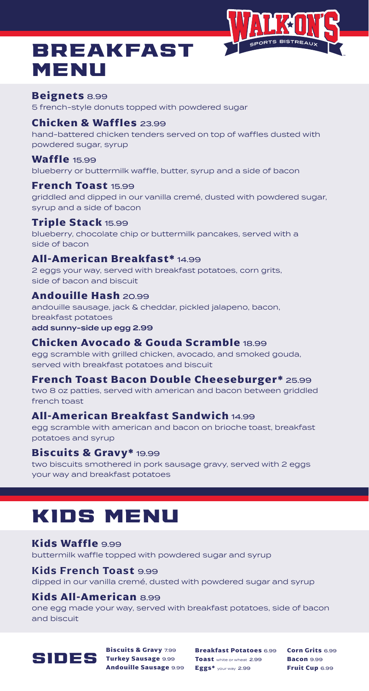

# BREAKFAST MENU

**Beignets** 8.99 5 french-style donuts topped with powdered sugar

#### **Chicken & Waffles** 23.99

hand-battered chicken tenders served on top of waffles dusted with powdered sugar, syrup

#### **Waffle** 15.99

blueberry or buttermilk waffle, butter, syrup and a side of bacon

#### **French Toast** 15.99

griddled and dipped in our vanilla cremé, dusted with powdered sugar, syrup and a side of bacon

#### **Triple Stack** 15.99

blueberry, chocolate chip or buttermilk pancakes, served with a side of bacon

#### **All-American Breakfast\*** 14.99

2 eggs your way, served with breakfast potatoes, corn grits, side of bacon and biscuit

# **Andouille Hash** 20.99

andouille sausage, jack & cheddar, pickled jalapeno, bacon, breakfast potatoes

add sunny-side up egg 2.99

# **Chicken Avocado & Gouda Scramble** 18.99

egg scramble with grilled chicken, avocado, and smoked gouda, served with breakfast potatoes and biscuit

# **French Toast Bacon Double Cheeseburger\*** 25.99

two 8 oz patties, served with american and bacon between griddled french toast

### **All-American Breakfast Sandwich** 14.99

egg scramble with american and bacon on brioche toast, breakfast potatoes and syrup

### **Biscuits & Gravy\*** 19.99

two biscuits smothered in pork sausage gravy, served with 2 eggs your way and breakfast potatoes

# KIDS MENU

# **Kids Waffle** 9.99

buttermilk waffle topped with powdered sugar and syrup

#### **Kids French Toast** 9.99

dipped in our vanilla cremé, dusted with powdered sugar and syrup

### **Kids All-American** 8.99

one egg made your way, served with breakfast potatoes, side of bacon and biscuit



**SIDES** Biscuits & Gravy 7.99 **Turkey Sausage** 9.99 **Andouille Sausage** 9.99

**Breakfast Potatoes** 6.99 **Toast** white or wheat 2.99 **Eggs\*** your way 2.99

**Corn Grits** 6.99 **Bacon** 9.99 **Fruit Cup** 6.99